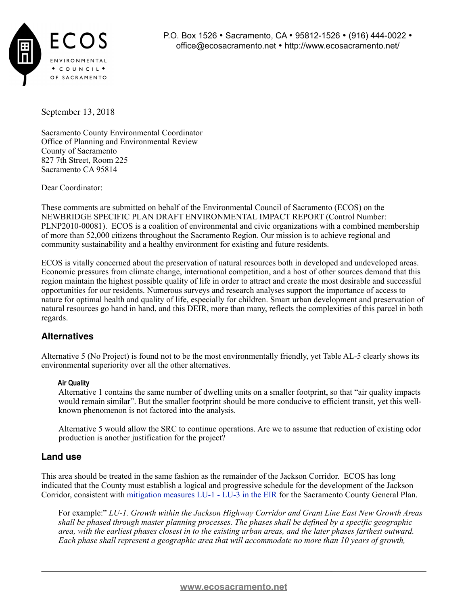

September 13, 2018

Sacramento County Environmental Coordinator Office of Planning and Environmental Review County of Sacramento 827 7th Street, Room 225 Sacramento CA 95814

Dear Coordinator:

These comments are submitted on behalf of the Environmental Council of Sacramento (ECOS) on the NEWBRIDGE SPECIFIC PLAN DRAFT ENVIRONMENTAL IMPACT REPORT (Control Number: PLNP2010-00081). ECOS is a coalition of environmental and civic organizations with a combined membership of more than 52,000 citizens throughout the Sacramento Region. Our mission is to achieve regional and community sustainability and a healthy environment for existing and future residents.

ECOS is vitally concerned about the preservation of natural resources both in developed and undeveloped areas. Economic pressures from climate change, international competition, and a host of other sources demand that this region maintain the highest possible quality of life in order to attract and create the most desirable and successful opportunities for our residents. Numerous surveys and research analyses support the importance of access to nature for optimal health and quality of life, especially for children. Smart urban development and preservation of natural resources go hand in hand, and this DEIR, more than many, reflects the complexities of this parcel in both regards.

## **Alternatives**

Alternative 5 (No Project) is found not to be the most environmentally friendly, yet Table AL-5 clearly shows its environmental superiority over all the other alternatives.

#### **Air Quality**

Alternative 1 contains the same number of dwelling units on a smaller footprint, so that "air quality impacts would remain similar". But the smaller footprint should be more conducive to efficient transit, yet this wellknown phenomenon is not factored into the analysis.

Alternative 5 would allow the SRC to continue operations. Are we to assume that reduction of existing odor production is another justification for the project?

### **Land use**

This area should be treated in the same fashion as the remainder of the Jackson Corridor. ECOS has long indicated that the County must establish a logical and progressive schedule for the development of the Jackson Corridor, consistent with [mitigation measures LU-1 - LU-3 in the EIR](http://www.per.saccounty.net/PlansandProjectsIn-Progress/Documents/General%20Plan%20FEIR%20(2030)/General%20Plan%20Update%202030%20FEIR%20Vol%20I.pdf) for the Sacramento County General Plan.

For example:" *LU-1. Growth within the Jackson Highway Corridor and Grant Line East New Growth Areas shall be phased through master planning processes. The phases shall be defined by a specific geographic area, with the earliest phases closest in to the existing urban areas, and the later phases farthest outward. Each phase shall represent a geographic area that will accommodate no more than 10 years of growth,*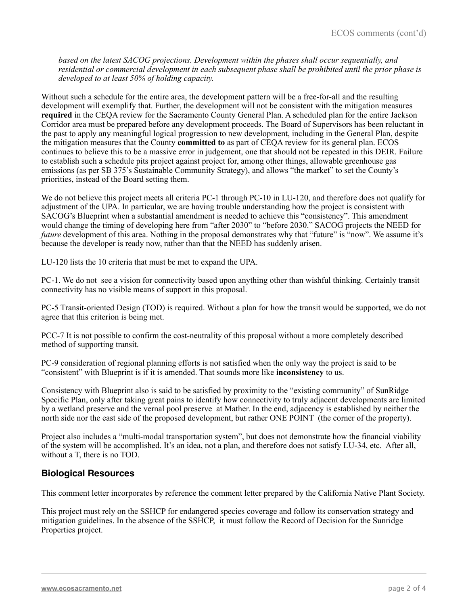*based on the latest SACOG projections. Development within the phases shall occur sequentially, and residential or commercial development in each subsequent phase shall be prohibited until the prior phase is developed to at least 50% of holding capacity.*

Without such a schedule for the entire area, the development pattern will be a free-for-all and the resulting development will exemplify that. Further, the development will not be consistent with the mitigation measures **required** in the CEQA review for the Sacramento County General Plan. A scheduled plan for the entire Jackson Corridor area must be prepared before any development proceeds. The Board of Supervisors has been reluctant in the past to apply any meaningful logical progression to new development, including in the General Plan, despite the mitigation measures that the County **committed to** as part of CEQA review for its general plan. ECOS continues to believe this to be a massive error in judgement, one that should not be repeated in this DEIR. Failure to establish such a schedule pits project against project for, among other things, allowable greenhouse gas emissions (as per SB 375's Sustainable Community Strategy), and allows "the market" to set the County's priorities, instead of the Board setting them.

We do not believe this project meets all criteria PC-1 through PC-10 in LU-120, and therefore does not qualify for adjustment of the UPA. In particular, we are having trouble understanding how the project is consistent with SACOG's Blueprint when a substantial amendment is needed to achieve this "consistency". This amendment would change the timing of developing here from "after 2030" to "before 2030." SACOG projects the NEED for *future* development of this area. Nothing in the proposal demonstrates why that "future" is "now". We assume it's because the developer is ready now, rather than that the NEED has suddenly arisen.

LU-120 lists the 10 criteria that must be met to expand the UPA.

PC-1. We do not see a vision for connectivity based upon anything other than wishful thinking. Certainly transit connectivity has no visible means of support in this proposal.

PC-5 Transit-oriented Design (TOD) is required. Without a plan for how the transit would be supported, we do not agree that this criterion is being met.

PCC-7 It is not possible to confirm the cost-neutrality of this proposal without a more completely described method of supporting transit.

PC-9 consideration of regional planning efforts is not satisfied when the only way the project is said to be "consistent" with Blueprint is if it is amended. That sounds more like **inconsistency** to us.

Consistency with Blueprint also is said to be satisfied by proximity to the "existing community" of SunRidge Specific Plan, only after taking great pains to identify how connectivity to truly adjacent developments are limited by a wetland preserve and the vernal pool preserve at Mather. In the end, adjacency is established by neither the north side nor the east side of the proposed development, but rather ONE POINT (the corner of the property).

Project also includes a "multi-modal transportation system", but does not demonstrate how the financial viability of the system will be accomplished. It's an idea, not a plan, and therefore does not satisfy LU-34, etc. After all, without a T, there is no TOD.

#### **Biological Resources**

This comment letter incorporates by reference the comment letter prepared by the California Native Plant Society.

This project must rely on the SSHCP for endangered species coverage and follow its conservation strategy and mitigation guidelines. In the absence of the SSHCP, it must follow the Record of Decision for the Sunridge Properties project.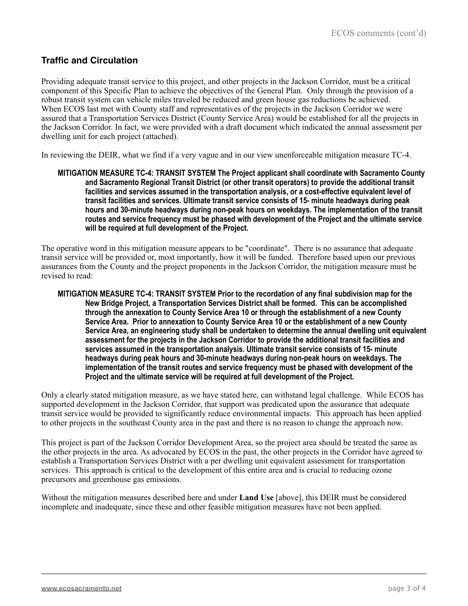## **Traffic and Circulation**

Providing adequate transit service to this project, and other projects in the Jackson Corridor, must be a critical component of this Specific Plan to achieve the objectives of the General Plan. Only through the provision of a robust transit system can vehicle miles traveled be reduced and green house gas reductions be achieved. When ECOS last met with County staff and representatives of the projects in the Jackson Corridor we were assured that a Transportation Services District (County Service Area) would be established for all the projects in the Jackson Corridor. In fact, we were provided with a draft document which indicated the annual assessment per dwelling unit for each project (attached).

In reviewing the DEIR, what we find if a very vague and in our view unenforceable mitigation measure TC-4.

**MITIGATION MEASURE TC-4: TRANSIT SYSTEM The Project applicant shall coordinate with Sacramento County and Sacramento Regional Transit District (or other transit operators) to provide the additional transit facilities and services assumed in the transportation analysis, or a cost-effective equivalent level of transit facilities and services. Ultimate transit service consists of 15- minute headways during peak hours and 30-minute headways during non-peak hours on weekdays. The implementation of the transit routes and service frequency must be phased with development of the Project and the ultimate service will be required at full development of the Project.**

The operative word in this mitigation measure appears to be "coordinate". There is no assurance that adequate transit service will be provided or, most importantly, how it will be funded. Therefore based upon our previous assurances from the County and the project proponents in the Jackson Corridor, the mitigation measure must be revised to read:

**MITIGATION MEASURE TC-4: TRANSIT SYSTEM Prior to the recordation of any final subdivision map for the New Bridge Project, a Transportation Services District shall be formed. This can be accomplished through the annexation to County Service Area 10 or through the establishment of a new County Service Area. Prior to annexation to County Service Area 10 or the establishment of a new County Service Area, an engineering study shall be undertaken to determine the annual dwelling unit equivalent assessment for the projects in the Jackson Corridor to provide the additional transit facilities and services assumed in the transportation analysis. Ultimate transit service consists of 15- minute headways during peak hours and 30-minute headways during non-peak hours on weekdays. The implementation of the transit routes and service frequency must be phased with development of the Project and the ultimate service will be required at full development of the Project.**

Only a clearly stated mitigation measure, as we have stated here, can withstand legal challenge. While ECOS has supported development in the Jackson Corridor, that support was predicated upon the assurance that adequate transit service would be provided to significantly reduce environmental impacts. This approach has been applied to other projects in the southeast County area in the past and there is no reason to change the approach now.

This project is part of the Jackson Corridor Development Area, so the project area should be treated the same as the other projects in the area. As advocated by ECOS in the past, the other projects in the Corridor have agreed to establish a Transportation Services District with a per dwelling unit equivalent assessment for transportation services. This approach is critical to the development of this entire area and is crucial to reducing ozone precursors and greenhouse gas emissions.

Without the mitigation measures described here and under **Land Use** [above], this DEIR must be considered incomplete and inadequate, since these and other feasible mitigation measures have not been applied.